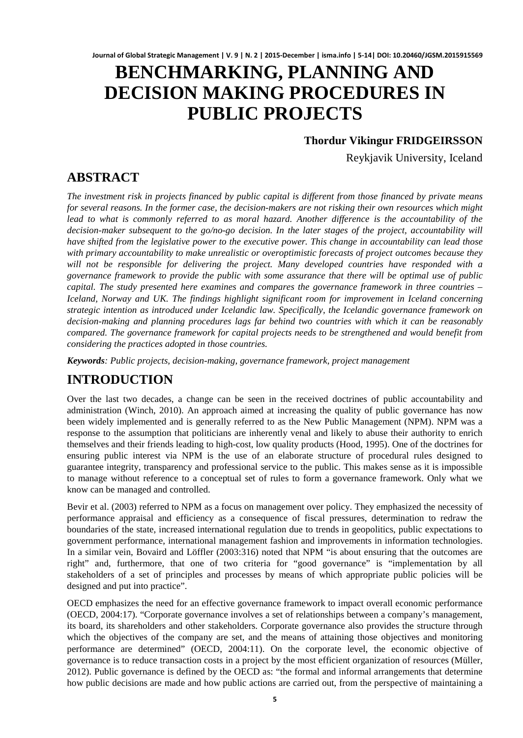# **BENCHMARKING, PLANNING AND DECISION MAKING PROCEDURES IN PUBLIC PROJECTS**

### **Thordur Vikingur FRIDGEIRSSON**

Reykjavik University, Iceland

### **ABSTRACT**

*The investment risk in projects financed by public capital is different from those financed by private means for several reasons. In the former case, the decision-makers are not risking their own resources which might*  lead to what is commonly referred to as moral hazard. Another difference is the accountability of the *decision-maker subsequent to the go/no-go decision. In the later stages of the project, accountability will have shifted from the legislative power to the executive power. This change in accountability can lead those with primary accountability to make unrealistic or overoptimistic forecasts of project outcomes because they will not be responsible for delivering the project. Many developed countries have responded with a governance framework to provide the public with some assurance that there will be optimal use of public capital. The study presented here examines and compares the governance framework in three countries – Iceland, Norway and UK. The findings highlight significant room for improvement in Iceland concerning strategic intention as introduced under Icelandic law. Specifically, the Icelandic governance framework on decision-making and planning procedures lags far behind two countries with which it can be reasonably compared. The governance framework for capital projects needs to be strengthened and would benefit from considering the practices adopted in those countries.*

*Keywords: Public projects, decision-making, governance framework, project management*

# **INTRODUCTION**

Over the last two decades, a change can be seen in the received doctrines of public accountability and administration (Winch, 2010). An approach aimed at increasing the quality of public governance has now been widely implemented and is generally referred to as the New Public Management (NPM). NPM was a response to the assumption that politicians are inherently venal and likely to abuse their authority to enrich themselves and their friends leading to high-cost, low quality products (Hood, 1995). One of the doctrines for ensuring public interest via NPM is the use of an elaborate structure of procedural rules designed to guarantee integrity, transparency and professional service to the public. This makes sense as it is impossible to manage without reference to a conceptual set of rules to form a governance framework. Only what we know can be managed and controlled.

Bevir et al. (2003) referred to NPM as a focus on management over policy. They emphasized the necessity of performance appraisal and efficiency as a consequence of fiscal pressures, determination to redraw the boundaries of the state, increased international regulation due to trends in geopolitics, public expectations to government performance, international management fashion and improvements in information technologies. In a similar vein, Bovaird and Löffler (2003:316) noted that NPM "is about ensuring that the outcomes are right" and, furthermore, that one of two criteria for "good governance" is "implementation by all stakeholders of a set of principles and processes by means of which appropriate public policies will be designed and put into practice".

OECD emphasizes the need for an effective governance framework to impact overall economic performance (OECD, 2004:17). "Corporate governance involves a set of relationships between a company's management, its board, its shareholders and other stakeholders. Corporate governance also provides the structure through which the objectives of the company are set, and the means of attaining those objectives and monitoring performance are determined" (OECD, 2004:11). On the corporate level, the economic objective of governance is to reduce transaction costs in a project by the most efficient organization of resources (Müller, 2012). Public governance is defined by the OECD as: "the formal and informal arrangements that determine how public decisions are made and how public actions are carried out, from the perspective of maintaining a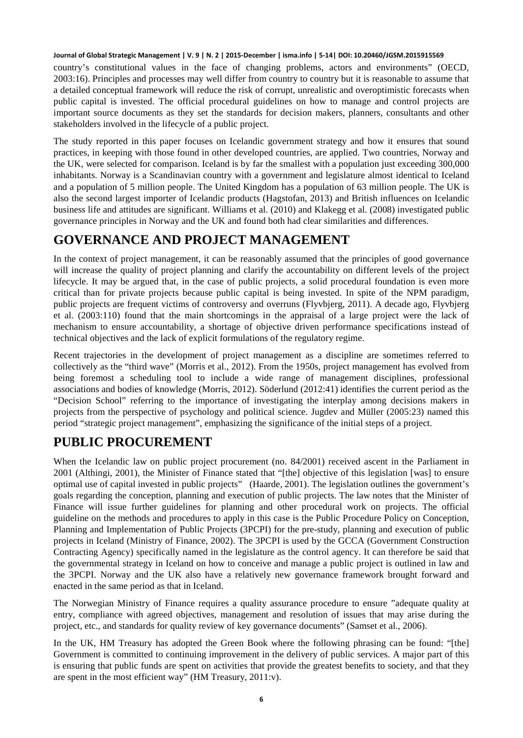country's constitutional values in the face of changing problems, actors and environments" (OECD, 2003:16). Principles and processes may well differ from country to country but it is reasonable to assume that a detailed conceptual framework will reduce the risk of corrupt, unrealistic and overoptimistic forecasts when public capital is invested. The official procedural guidelines on how to manage and control projects are important source documents as they set the standards for decision makers, planners, consultants and other stakeholders involved in the lifecycle of a public project.

The study reported in this paper focuses on Icelandic government strategy and how it ensures that sound practices, in keeping with those found in other developed countries, are applied. Two countries, Norway and the UK, were selected for comparison. Iceland is by far the smallest with a population just exceeding 300,000 inhabitants. Norway is a Scandinavian country with a government and legislature almost identical to Iceland and a population of 5 million people. The United Kingdom has a population of 63 million people. The UK is also the second largest importer of Icelandic products (Hagstofan, 2013) and British influences on Icelandic business life and attitudes are significant. Williams et al. (2010) and Klakegg et al. (2008) investigated public governance principles in Norway and the UK and found both had clear similarities and differences.

# **GOVERNANCE AND PROJECT MANAGEMENT**

In the context of project management, it can be reasonably assumed that the principles of good governance will increase the quality of project planning and clarify the accountability on different levels of the project lifecycle. It may be argued that, in the case of public projects, a solid procedural foundation is even more critical than for private projects because public capital is being invested. In spite of the NPM paradigm, public projects are frequent victims of controversy and overruns (Flyvbjerg, 2011). A decade ago, Flyvbjerg et al. (2003:110) found that the main shortcomings in the appraisal of a large project were the lack of mechanism to ensure accountability, a shortage of objective driven performance specifications instead of technical objectives and the lack of explicit formulations of the regulatory regime.

Recent trajectories in the development of project management as a discipline are sometimes referred to collectively as the "third wave" (Morris et al., 2012). From the 1950s, project management has evolved from being foremost a scheduling tool to include a wide range of management disciplines, professional associations and bodies of knowledge (Morris, 2012). Söderlund (2012:41) identifies the current period as the "Decision School" referring to the importance of investigating the interplay among decisions makers in projects from the perspective of psychology and political science. Jugdev and Müller (2005:23) named this period "strategic project management", emphasizing the significance of the initial steps of a project.

# **PUBLIC PROCUREMENT**

When the Icelandic law on public project procurement (no. 84/2001) received ascent in the Parliament in 2001 (Althingi, 2001), the Minister of Finance stated that "[the] objective of this legislation [was] to ensure optimal use of capital invested in public projects" (Haarde, 2001). The legislation outlines the government's goals regarding the conception, planning and execution of public projects. The law notes that the Minister of Finance will issue further guidelines for planning and other procedural work on projects. The official guideline on the methods and procedures to apply in this case is the Public Procedure Policy on Conception, Planning and Implementation of Public Projects (3PCPI) for the pre-study, planning and execution of public projects in Iceland (Ministry of Finance, 2002). The 3PCPI is used by the GCCA (Government Construction Contracting Agency) specifically named in the legislature as the control agency. It can therefore be said that the governmental strategy in Iceland on how to conceive and manage a public project is outlined in law and the 3PCPI. Norway and the UK also have a relatively new governance framework brought forward and enacted in the same period as that in Iceland.

The Norwegian Ministry of Finance requires a quality assurance procedure to ensure "adequate quality at entry, compliance with agreed objectives, management and resolution of issues that may arise during the project, etc., and standards for quality review of key governance documents" (Samset et al., 2006).

In the UK, HM Treasury has adopted the Green Book where the following phrasing can be found: "[the] Government is committed to continuing improvement in the delivery of public services. A major part of this is ensuring that public funds are spent on activities that provide the greatest benefits to society, and that they are spent in the most efficient way" (HM Treasury, 2011:v).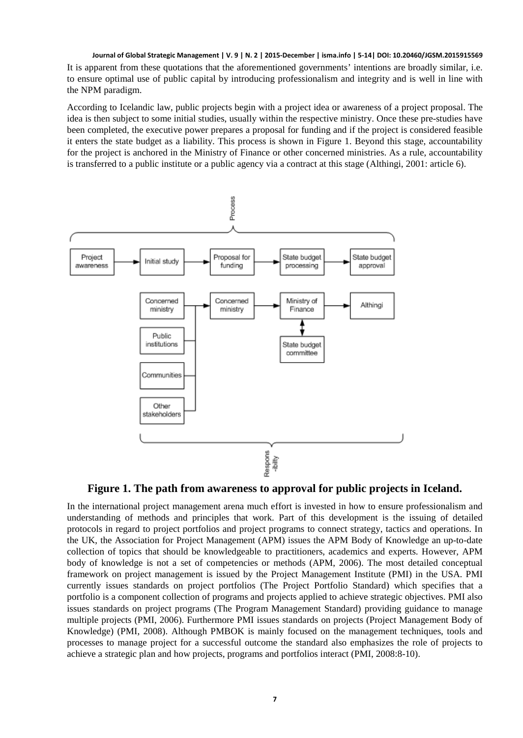It is apparent from these quotations that the aforementioned governments' intentions are broadly similar, i.e. to ensure optimal use of public capital by introducing professionalism and integrity and is well in line with the NPM paradigm.

According to Icelandic law, public projects begin with a project idea or awareness of a project proposal. The idea is then subject to some initial studies, usually within the respective ministry. Once these pre-studies have been completed, the executive power prepares a proposal for funding and if the project is considered feasible it enters the state budget as a liability. This process is shown in Figure 1. Beyond this stage, accountability for the project is anchored in the Ministry of Finance or other concerned ministries. As a rule, accountability is transferred to a public institute or a public agency via a contract at this stage (Althingi, 2001: article 6).



**Figure 1. The path from awareness to approval for public projects in Iceland.**

In the international project management arena much effort is invested in how to ensure professionalism and understanding of methods and principles that work. Part of this development is the issuing of detailed protocols in regard to project portfolios and project programs to connect strategy, tactics and operations. In the UK, the Association for Project Management (APM) issues the APM Body of Knowledge an up-to-date collection of topics that should be knowledgeable to practitioners, academics and experts. However, APM body of knowledge is not a set of competencies or methods (APM, 2006). The most detailed conceptual framework on project management is issued by the Project Management Institute (PMI) in the USA. PMI currently issues standards on project portfolios (The Project Portfolio Standard) which specifies that a portfolio is a component collection of programs and projects applied to achieve strategic objectives. PMI also issues standards on project programs (The Program Management Standard) providing guidance to manage multiple projects (PMI, 2006). Furthermore PMI issues standards on projects (Project Management Body of Knowledge) (PMI, 2008). Although PMBOK is mainly focused on the management techniques, tools and processes to manage project for a successful outcome the standard also emphasizes the role of projects to achieve a strategic plan and how projects, programs and portfolios interact (PMI, 2008:8-10).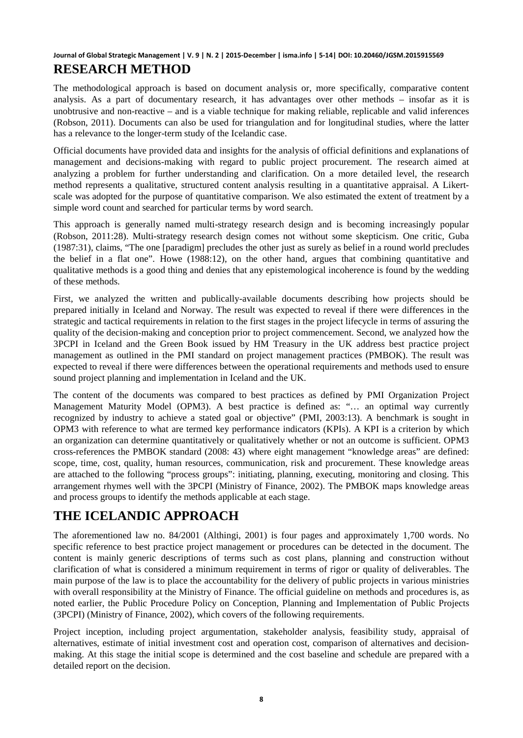### **Journal of Global Strategic Management | V. 9 | N. 2 | 2015-December | isma.info | 5-14| DOI: 10.20460/JGSM.2015915569 RESEARCH METHOD**

The methodological approach is based on document analysis or, more specifically, comparative content analysis. As a part of documentary research, it has advantages over other methods – insofar as it is unobtrusive and non-reactive – and is a viable technique for making reliable, replicable and valid inferences (Robson, 2011). Documents can also be used for triangulation and for longitudinal studies, where the latter has a relevance to the longer-term study of the Icelandic case.

Official documents have provided data and insights for the analysis of official definitions and explanations of management and decisions-making with regard to public project procurement. The research aimed at analyzing a problem for further understanding and clarification. On a more detailed level, the research method represents a qualitative, structured content analysis resulting in a quantitative appraisal. A Likertscale was adopted for the purpose of quantitative comparison. We also estimated the extent of treatment by a simple word count and searched for particular terms by word search.

This approach is generally named multi-strategy research design and is becoming increasingly popular (Robson, 2011:28). Multi-strategy research design comes not without some skepticism. One critic, Guba (1987:31), claims, "The one [paradigm] precludes the other just as surely as belief in a round world precludes the belief in a flat one". Howe (1988:12), on the other hand, argues that combining quantitative and qualitative methods is a good thing and denies that any epistemological incoherence is found by the wedding of these methods.

First, we analyzed the written and publically-available documents describing how projects should be prepared initially in Iceland and Norway. The result was expected to reveal if there were differences in the strategic and tactical requirements in relation to the first stages in the project lifecycle in terms of assuring the quality of the decision-making and conception prior to project commencement. Second, we analyzed how the 3PCPI in Iceland and the Green Book issued by HM Treasury in the UK address best practice project management as outlined in the PMI standard on project management practices (PMBOK). The result was expected to reveal if there were differences between the operational requirements and methods used to ensure sound project planning and implementation in Iceland and the UK.

The content of the documents was compared to best practices as defined by PMI Organization Project Management Maturity Model (OPM3). A best practice is defined as: "… an optimal way currently recognized by industry to achieve a stated goal or objective" (PMI, 2003:13). A benchmark is sought in OPM3 with reference to what are termed key performance indicators (KPIs). A KPI is a criterion by which an organization can determine quantitatively or qualitatively whether or not an outcome is sufficient. OPM3 cross-references the PMBOK standard (2008: 43) where eight management "knowledge areas" are defined: scope, time, cost, quality, human resources, communication, risk and procurement. These knowledge areas are attached to the following "process groups": initiating, planning, executing, monitoring and closing. This arrangement rhymes well with the 3PCPI (Ministry of Finance, 2002). The PMBOK maps knowledge areas and process groups to identify the methods applicable at each stage.

# **THE ICELANDIC APPROACH**

The aforementioned law no. 84/2001 (Althingi, 2001) is four pages and approximately 1,700 words. No specific reference to best practice project management or procedures can be detected in the document. The content is mainly generic descriptions of terms such as cost plans, planning and construction without clarification of what is considered a minimum requirement in terms of rigor or quality of deliverables. The main purpose of the law is to place the accountability for the delivery of public projects in various ministries with overall responsibility at the Ministry of Finance. The official guideline on methods and procedures is, as noted earlier, the Public Procedure Policy on Conception, Planning and Implementation of Public Projects (3PCPI) (Ministry of Finance, 2002), which covers of the following requirements.

Project inception, including project argumentation, stakeholder analysis, feasibility study, appraisal of alternatives, estimate of initial investment cost and operation cost, comparison of alternatives and decisionmaking. At this stage the initial scope is determined and the cost baseline and schedule are prepared with a detailed report on the decision.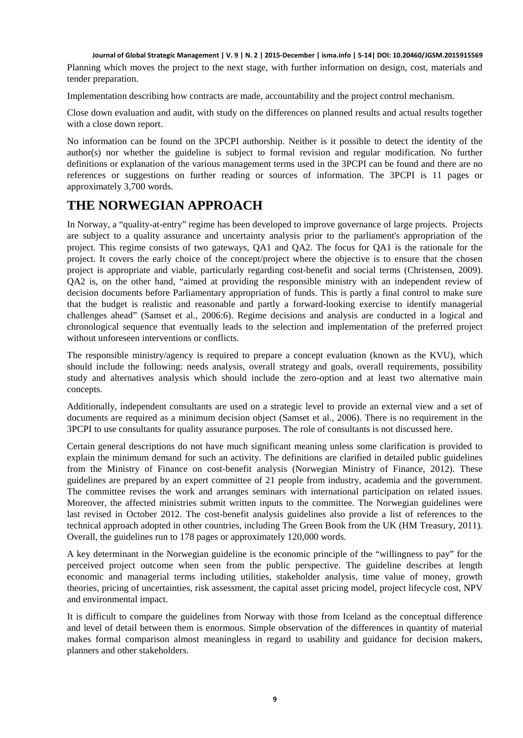Planning which moves the project to the next stage, with further information on design, cost, materials and tender preparation.

Implementation describing how contracts are made, accountability and the project control mechanism.

Close down evaluation and audit, with study on the differences on planned results and actual results together with a close down report.

No information can be found on the 3PCPI authorship. Neither is it possible to detect the identity of the author(s) nor whether the guideline is subject to formal revision and regular modification. No further definitions or explanation of the various management terms used in the 3PCPI can be found and there are no references or suggestions on further reading or sources of information. The 3PCPI is 11 pages or approximately 3,700 words.

### **THE NORWEGIAN APPROACH**

In Norway, a "quality-at-entry" regime has been developed to improve governance of large projects. Projects are subject to a quality assurance and uncertainty analysis prior to the parliament's appropriation of the project. This regime consists of two gateways, QA1 and QA2. The focus for QA1 is the rationale for the project. It covers the early choice of the concept/project where the objective is to ensure that the chosen project is appropriate and viable, particularly regarding cost-benefit and social terms (Christensen, 2009). QA2 is, on the other hand, "aimed at providing the responsible ministry with an independent review of decision documents before Parliamentary appropriation of funds. This is partly a final control to make sure that the budget is realistic and reasonable and partly a forward-looking exercise to identify managerial challenges ahead" (Samset et al., 2006:6). Regime decisions and analysis are conducted in a logical and chronological sequence that eventually leads to the selection and implementation of the preferred project without unforeseen interventions or conflicts.

The responsible ministry/agency is required to prepare a concept evaluation (known as the KVU), which should include the following: needs analysis, overall strategy and goals, overall requirements, possibility study and alternatives analysis which should include the zero-option and at least two alternative main concepts.

Additionally, independent consultants are used on a strategic level to provide an external view and a set of documents are required as a minimum decision object (Samset et al., 2006). There is no requirement in the 3PCPI to use consultants for quality assurance purposes. The role of consultants is not discussed here.

Certain general descriptions do not have much significant meaning unless some clarification is provided to explain the minimum demand for such an activity. The definitions are clarified in detailed public guidelines from the Ministry of Finance on cost-benefit analysis (Norwegian Ministry of Finance, 2012). These guidelines are prepared by an expert committee of 21 people from industry, academia and the government. The committee revises the work and arranges seminars with international participation on related issues. Moreover, the affected ministries submit written inputs to the committee. The Norwegian guidelines were last revised in October 2012. The cost-benefit analysis guidelines also provide a list of references to the technical approach adopted in other countries, including The Green Book from the UK (HM Treasury, 2011). Overall, the guidelines run to 178 pages or approximately 120,000 words.

A key determinant in the Norwegian guideline is the economic principle of the "willingness to pay" for the perceived project outcome when seen from the public perspective. The guideline describes at length economic and managerial terms including utilities, stakeholder analysis, time value of money, growth theories, pricing of uncertainties, risk assessment, the capital asset pricing model, project lifecycle cost, NPV and environmental impact.

It is difficult to compare the guidelines from Norway with those from Iceland as the conceptual difference and level of detail between them is enormous. Simple observation of the differences in quantity of material makes formal comparison almost meaningless in regard to usability and guidance for decision makers, planners and other stakeholders.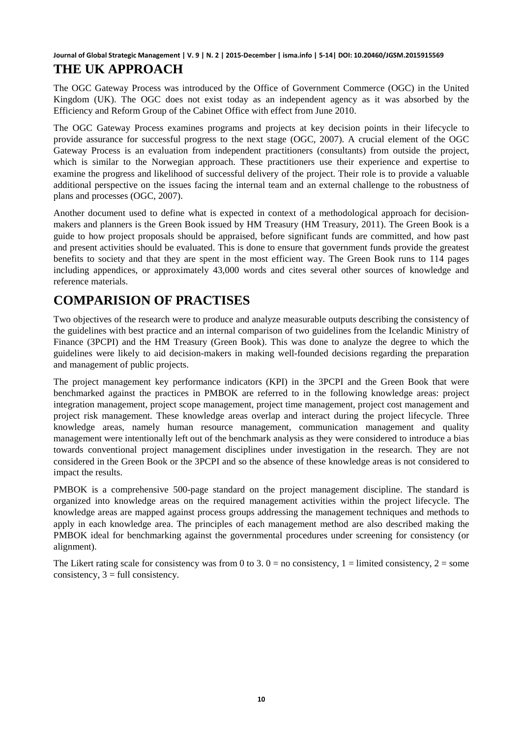### **Journal of Global Strategic Management | V. 9 | N. 2 | 2015-December | isma.info | 5-14| DOI: 10.20460/JGSM.2015915569 THE UK APPROACH**

The OGC Gateway Process was introduced by the Office of Government Commerce (OGC) in the United Kingdom (UK). The OGC does not exist today as an independent agency as it was absorbed by the Efficiency and Reform Group of the Cabinet Office with effect from June 2010.

The OGC Gateway Process examines programs and projects at key decision points in their lifecycle to provide assurance for successful progress to the next stage (OGC, 2007). A crucial element of the OGC Gateway Process is an evaluation from independent practitioners (consultants) from outside the project, which is similar to the Norwegian approach. These practitioners use their experience and expertise to examine the progress and likelihood of successful delivery of the project. Their role is to provide a valuable additional perspective on the issues facing the internal team and an external challenge to the robustness of plans and processes (OGC, 2007).

Another document used to define what is expected in context of a methodological approach for decisionmakers and planners is the Green Book issued by HM Treasury (HM Treasury, 2011). The Green Book is a guide to how project proposals should be appraised, before significant funds are committed, and how past and present activities should be evaluated. This is done to ensure that government funds provide the greatest benefits to society and that they are spent in the most efficient way. The Green Book runs to 114 pages including appendices, or approximately 43,000 words and cites several other sources of knowledge and reference materials.

# **COMPARISION OF PRACTISES**

Two objectives of the research were to produce and analyze measurable outputs describing the consistency of the guidelines with best practice and an internal comparison of two guidelines from the Icelandic Ministry of Finance (3PCPI) and the HM Treasury (Green Book). This was done to analyze the degree to which the guidelines were likely to aid decision-makers in making well-founded decisions regarding the preparation and management of public projects.

The project management key performance indicators (KPI) in the 3PCPI and the Green Book that were benchmarked against the practices in PMBOK are referred to in the following knowledge areas: project integration management, project scope management, project time management, project cost management and project risk management. These knowledge areas overlap and interact during the project lifecycle. Three knowledge areas, namely human resource management, communication management and quality management were intentionally left out of the benchmark analysis as they were considered to introduce a bias towards conventional project management disciplines under investigation in the research. They are not considered in the Green Book or the 3PCPI and so the absence of these knowledge areas is not considered to impact the results.

PMBOK is a comprehensive 500-page standard on the project management discipline. The standard is organized into knowledge areas on the required management activities within the project lifecycle. The knowledge areas are mapped against process groups addressing the management techniques and methods to apply in each knowledge area. The principles of each management method are also described making the PMBOK ideal for benchmarking against the governmental procedures under screening for consistency (or alignment).

The Likert rating scale for consistency was from 0 to 3,  $0 =$  no consistency,  $1 =$  limited consistency,  $2 =$  some consistency,  $3 = \text{full consistency}$ .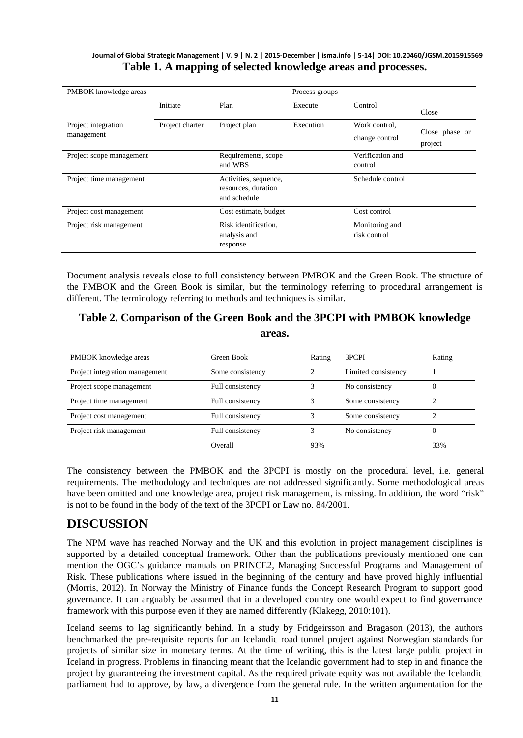#### **Journal of Global Strategic Management | V. 9 | N. 2 | 2015-December | isma.info | 5-14| DOI: 10.20460/JGSM.2015915569 Table 1. A mapping of selected knowledge areas and processes.**

| PMBOK knowledge areas             |                 | Process groups                                               |           |                                 |                           |
|-----------------------------------|-----------------|--------------------------------------------------------------|-----------|---------------------------------|---------------------------|
|                                   | Initiate        | Plan                                                         | Execute   | Control                         | Close                     |
| Project integration<br>management | Project charter | Project plan                                                 | Execution | Work control.<br>change control | Close phase or<br>project |
| Project scope management          |                 | Requirements, scope<br>and WBS                               |           | Verification and<br>control     |                           |
| Project time management           |                 | Activities, sequence,<br>resources, duration<br>and schedule |           | Schedule control                |                           |
| Project cost management           |                 | Cost estimate, budget                                        |           | Cost control                    |                           |
| Project risk management           |                 | Risk identification.<br>analysis and<br>response             |           | Monitoring and<br>risk control  |                           |

Document analysis reveals close to full consistency between PMBOK and the Green Book. The structure of the PMBOK and the Green Book is similar, but the terminology referring to procedural arrangement is different. The terminology referring to methods and techniques is similar.

### **Table 2. Comparison of the Green Book and the 3PCPI with PMBOK knowledge areas.**

| PMBOK knowledge areas          | Green Book       | Rating | 3PCPI               | Rating |
|--------------------------------|------------------|--------|---------------------|--------|
| Project integration management | Some consistency |        | Limited consistency |        |
| Project scope management       | Full consistency |        | No consistency      |        |
| Project time management        | Full consistency |        | Some consistency    |        |
| Project cost management        | Full consistency |        | Some consistency    |        |
| Project risk management        | Full consistency |        | No consistency      |        |
|                                | Overall          | 93%    |                     | 33%    |

The consistency between the PMBOK and the 3PCPI is mostly on the procedural level, i.e. general requirements. The methodology and techniques are not addressed significantly. Some methodological areas have been omitted and one knowledge area, project risk management, is missing. In addition, the word "risk" is not to be found in the body of the text of the 3PCPI or Law no. 84/2001.

# **DISCUSSION**

The NPM wave has reached Norway and the UK and this evolution in project management disciplines is supported by a detailed conceptual framework. Other than the publications previously mentioned one can mention the OGC's guidance manuals on PRINCE2, Managing Successful Programs and Management of Risk. These publications where issued in the beginning of the century and have proved highly influential (Morris, 2012). In Norway the Ministry of Finance funds the Concept Research Program to support good governance. It can arguably be assumed that in a developed country one would expect to find governance framework with this purpose even if they are named differently (Klakegg, 2010:101).

Iceland seems to lag significantly behind. In a study by Fridgeirsson and Bragason (2013), the authors benchmarked the pre-requisite reports for an Icelandic road tunnel project against Norwegian standards for projects of similar size in monetary terms. At the time of writing, this is the latest large public project in Iceland in progress. Problems in financing meant that the Icelandic government had to step in and finance the project by guaranteeing the investment capital. As the required private equity was not available the Icelandic parliament had to approve, by law, a divergence from the general rule. In the written argumentation for the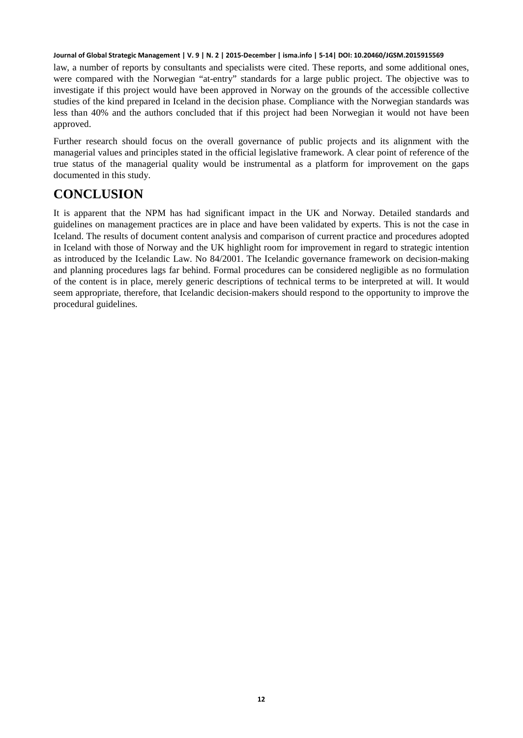law, a number of reports by consultants and specialists were cited. These reports, and some additional ones, were compared with the Norwegian "at-entry" standards for a large public project. The objective was to investigate if this project would have been approved in Norway on the grounds of the accessible collective studies of the kind prepared in Iceland in the decision phase. Compliance with the Norwegian standards was less than 40% and the authors concluded that if this project had been Norwegian it would not have been approved.

Further research should focus on the overall governance of public projects and its alignment with the managerial values and principles stated in the official legislative framework. A clear point of reference of the true status of the managerial quality would be instrumental as a platform for improvement on the gaps documented in this study.

### **CONCLUSION**

It is apparent that the NPM has had significant impact in the UK and Norway. Detailed standards and guidelines on management practices are in place and have been validated by experts. This is not the case in Iceland. The results of document content analysis and comparison of current practice and procedures adopted in Iceland with those of Norway and the UK highlight room for improvement in regard to strategic intention as introduced by the Icelandic Law. No 84/2001. The Icelandic governance framework on decision-making and planning procedures lags far behind. Formal procedures can be considered negligible as no formulation of the content is in place, merely generic descriptions of technical terms to be interpreted at will. It would seem appropriate, therefore, that Icelandic decision-makers should respond to the opportunity to improve the procedural guidelines.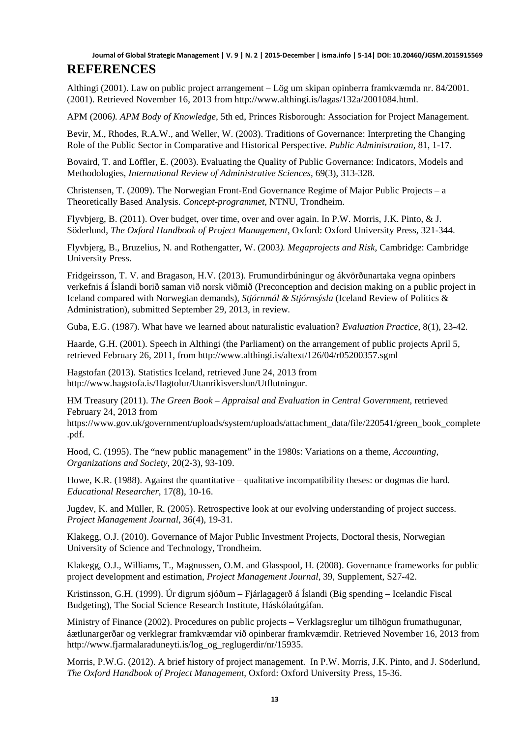Althingi (2001). Law on public project arrangement – Lög um skipan opinberra framkvæmda nr. 84/2001. (2001). Retrieved November 16, 2013 from http://www.althingi.is/lagas/132a/2001084.html.

APM (2006*). APM Body of Knowledge*, 5th ed, Princes Risborough: Association for Project Management.

Bevir, M., Rhodes, R.A.W., and Weller, W. (2003). Traditions of Governance: Interpreting the Changing Role of the Public Sector in Comparative and Historical Perspective. *Public Administration*, 81, 1-17.

Bovaird, T. and Löffler, E. (2003). Evaluating the Quality of Public Governance: Indicators, Models and Methodologies, *International Review of Administrative Sciences*, 69(3), 313-328.

Christensen, T. (2009). The Norwegian Front-End Governance Regime of Major Public Projects – a Theoretically Based Analysis. *Concept-programmet*, NTNU, Trondheim.

Flyvbjerg, B. (2011). Over budget, over time, over and over again. In P.W. Morris, J.K. Pinto, & J. Söderlund, *The Oxford Handbook of Project Management*, Oxford: Oxford University Press, 321-344.

Flyvbjerg, B., Bruzelius, N. and Rothengatter, W. (2003*). Megaprojects and Risk*, Cambridge: Cambridge University Press.

Fridgeirsson, T. V. and Bragason, H.V. (2013). Frumundirbúningur og ákvörðunartaka vegna opinbers verkefnis á Íslandi borið saman við norsk viðmið (Preconception and decision making on a public project in Iceland compared with Norwegian demands), *Stjórnmál & Stjórnsýsla* (Iceland Review of Politics & Administration), submitted September 29, 2013, in review.

Guba, E.G. (1987). What have we learned about naturalistic evaluation? *Evaluation Practice*, 8(1), 23-42.

Haarde, G.H. (2001). Speech in Althingi (the Parliament) on the arrangement of public projects April 5, retrieved February 26, 2011, from http://www.althingi.is/altext/126/04/r05200357.sgml

Hagstofan (2013). Statistics Iceland, retrieved June 24, 2013 from http://www.hagstofa.is/Hagtolur/Utanrikisverslun/Utflutningur.

HM Treasury (2011). *The Green Book – Appraisal and Evaluation in Central Government*, retrieved February 24, 2013 from

https://www.gov.uk/government/uploads/system/uploads/attachment\_data/file/220541/green\_book\_complete .pdf.

Hood, C. (1995). The "new public management" in the 1980s: Variations on a theme, *Accounting, Organizations and Society*, 20(2-3), 93-109.

Howe, K.R. (1988). Against the quantitative – qualitative incompatibility theses: or dogmas die hard. *Educational Researcher*, 17(8), 10-16.

Jugdev, K. and Müller, R. (2005). Retrospective look at our evolving understanding of project success. *Project Management Journal*, 36(4), 19-31.

Klakegg, O.J. (2010). Governance of Major Public Investment Projects, Doctoral thesis, Norwegian University of Science and Technology, Trondheim.

Klakegg, O.J., Williams, T., Magnussen, O.M. and Glasspool, H. (2008). Governance frameworks for public project development and estimation, *Project Management Journal*, 39, Supplement, S27-42.

Kristinsson, G.H. (1999). Úr digrum sjóðum – Fjárlagagerð á Íslandi (Big spending – Icelandic Fiscal Budgeting), The Social Science Research Institute, Háskólaútgáfan.

Ministry of Finance (2002). Procedures on public projects – Verklagsreglur um tilhögun frumathugunar, áætlunargerðar og verklegrar framkvæmdar við opinberar framkvæmdir. Retrieved November 16, 2013 from http://www.fjarmalaraduneyti.is/log\_og\_reglugerdir/nr/15935.

Morris, P.W.G. (2012). A brief history of project management. In P.W. Morris, J.K. Pinto, and J. Söderlund, *The Oxford Handbook of Project Management*, Oxford: Oxford University Press, 15-36.